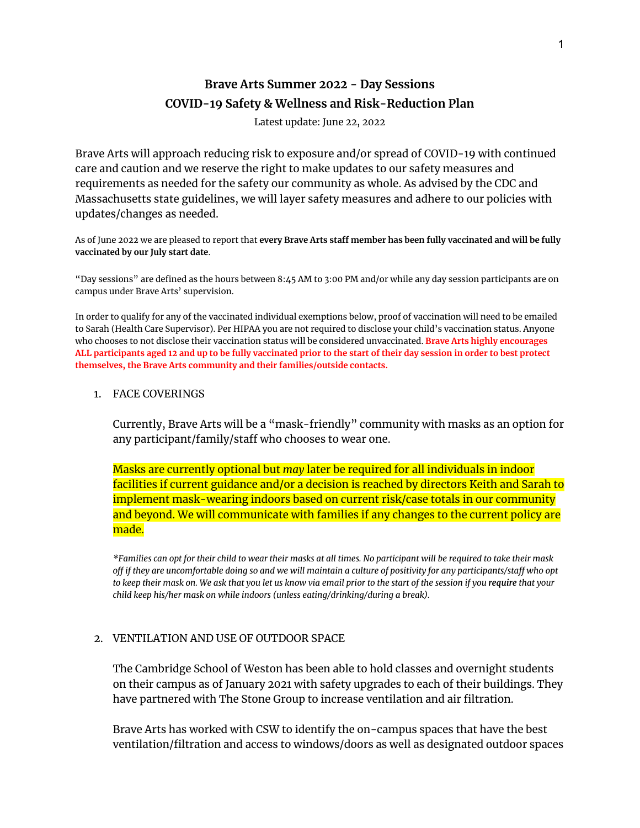# **Brave Arts Summer 2022 - Day Sessions COVID-19 Safety & Wellness and Risk-Reduction Plan**

Latest update: June 22, 2022

Brave Arts will approach reducing risk to exposure and/or spread of COVID-19 with continued care and caution and we reserve the right to make updates to our safety measures and requirements as needed for the safety our community as whole. As advised by the CDC and Massachusetts state guidelines, we will layer safety measures and adhere to our policies with updates/changes as needed.

As of June 2022 we are pleased to report that **every Brave Arts staff member has been fully vaccinated and will be fully vaccinated by our July start date**.

"Day sessions" are defined as the hours between 8:45 AM to 3:00 PM and/or while any day session participants are on campus under Brave Arts' supervision.

In order to qualify for any of the vaccinated individual exemptions below, proof of vaccination will need to be emailed to Sarah (Health Care Supervisor). Per HIPAA you are not required to disclose your child's vaccination status. Anyone who chooses to not disclose their vaccination status will be considered unvaccinated. **Brave Arts highly encourages** ALL participants aged 12 and up to be fully vaccinated prior to the start of their day session in order to best protect **themselves, the Brave Arts community and their families/outside contacts.**

#### 1. FACE COVERINGS

Currently, Brave Arts will be a "mask-friendly" community with masks as an option for any participant/family/staff who chooses to wear one.

Masks are currently optional but *may* later be required for all individuals in indoor facilities if current guidance and/or a decision is reached by directors Keith and Sarah to implement mask-wearing indoors based on current risk/case totals in our community and beyond. We will communicate with families if any changes to the current policy are made.

\*Families can opt for their child to wear their masks at all times. No participant will be required to take their mask off if they are uncomfortable doing so and we will maintain a culture of positivity for any participants/staff who opt to keep their mask on. We ask that you let us know via email prior to the start of the session if you require that your *child keep his/her mask on while indoors (unless eating/drinking/during a break).*

#### 2. VENTILATION AND USE OF OUTDOOR SPACE

The Cambridge School of Weston has been able to hold classes and overnight students on their campus as of January 2021 with safety upgrades to each of their buildings. They have partnered with The Stone Group to increase ventilation and air filtration.

Brave Arts has worked with CSW to identify the on-campus spaces that have the best ventilation/filtration and access to windows/doors as well as designated outdoor spaces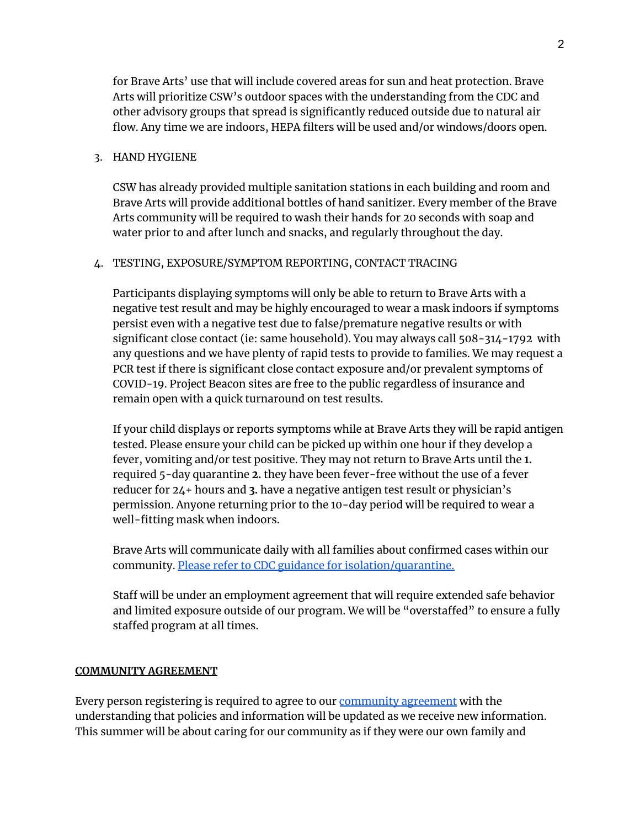for Brave Arts' use that will include covered areas for sun and heat protection. Brave Arts will prioritize CSW's outdoor spaces with the understanding from the CDC and other advisory groups that spread is significantly reduced outside due to natural air flow. Any time we are indoors, HEPA filters will be used and/or windows/doors open.

## 3. HAND HYGIENE

CSW has already provided multiple sanitation stations in each building and room and Brave Arts will provide additional bottles of hand sanitizer. Every member of the Brave Arts community will be required to wash their hands for 20 seconds with soap and water prior to and after lunch and snacks, and regularly throughout the day.

## 4. TESTING, EXPOSURE/SYMPTOM REPORTING, CONTACT TRACING

Participants displaying symptoms will only be able to return to Brave Arts with a negative test result and may be highly encouraged to wear a mask indoors if symptoms persist even with a negative test due to false/premature negative results or with significant close contact (ie: same household). You may always call 508-314-1792 with any questions and we have plenty of rapid tests to provide to families. We may request a PCR test if there is significant close contact exposure and/or prevalent symptoms of COVID-19. Project Beacon sites are free to the public regardless of insurance and remain open with a quick turnaround on test results.

If your child displays or reports symptoms while at Brave Arts they will be rapid antigen tested. Please ensure your child can be picked up within one hour if they develop a fever, vomiting and/or test positive. They may not return to Brave Arts until the **1.** required 5-day quarantine **2.** they have been fever-free without the use of a fever reducer for 24+ hours and **3.** have a negative antigen test result or physician's permission. Anyone returning prior to the 10-day period will be required to wear a well-fitting mask when indoors.

Brave Arts will communicate daily with all families about confirmed cases within our community. Please refer to CDC guidance for [isolation/quarantine.](https://www.cdc.gov/coronavirus/2019-ncov/your-health/quarantine-isolation.html)

Staff will be under an employment agreement that will require extended safe behavior and limited exposure outside of our program. We will be "overstaffed" to ensure a fully staffed program at all times.

## **COMMUNITY AGREEMENT**

Every person registering is required to agree to our [community](https://12c9eecf-c4fa-ffac-8787-ca27182545b8.filesusr.com/ugd/564884_a255a9261dcd4014b73fd64feda21faa.pdf) agreement with the understanding that policies and information will be updated as we receive new information. This summer will be about caring for our community as if they were our own family and